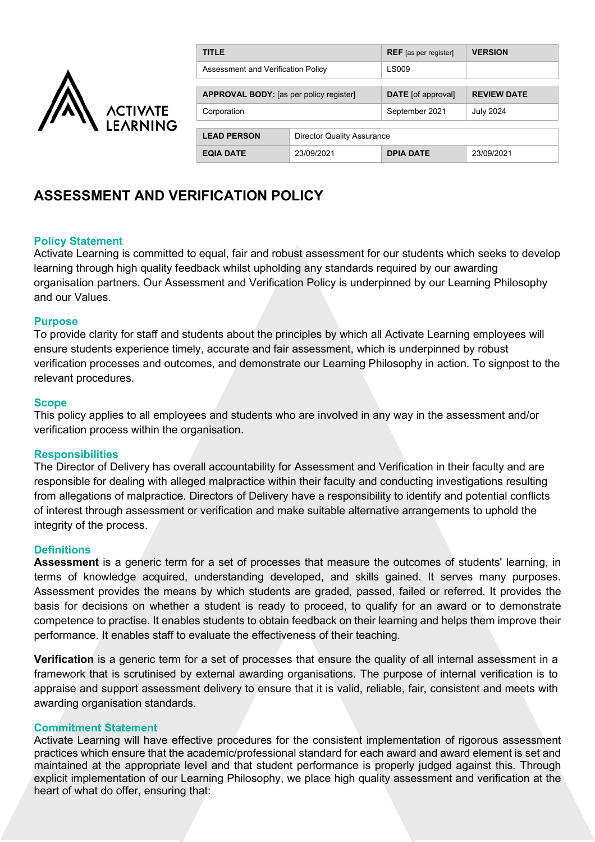

| <b>TITLE</b>                                   |                                   | <b>REF</b> [as per register] | <b>VERSION</b>     |
|------------------------------------------------|-----------------------------------|------------------------------|--------------------|
| Assessment and Verification Policy             |                                   | <b>LS009</b>                 |                    |
|                                                |                                   |                              |                    |
| <b>APPROVAL BODY:</b> [as per policy register] |                                   | <b>DATE</b> [of approval]    | <b>REVIEW DATE</b> |
| Corporation                                    |                                   | September 2021               | <b>July 2024</b>   |
|                                                |                                   |                              |                    |
| <b>LEAD PERSON</b>                             | <b>Director Quality Assurance</b> |                              |                    |
| <b>EQIA DATE</b>                               | 23/09/2021                        | <b>DPIA DATE</b>             | 23/09/2021         |

# **ASSESSMENT AND VERIFICATION POLICY**

# **Policy Statement**

Activate Learning is committed to equal, fair and robust assessment for our students which seeks to develop learning through high quality feedback whilst upholding any standards required by our awarding organisation partners. Our Assessment and Verification Policy is underpinned by our Learning Philosophy and our Values.

#### **Purpose**

To provide clarity for staff and students about the principles by which all Activate Learning employees will ensure students experience timely, accurate and fair assessment, which is underpinned by robust verification processes and outcomes, and demonstrate our Learning Philosophy in action. To signpost to the relevant procedures.

#### **Scope**

This policy applies to all employees and students who are involved in any way in the assessment and/or verification process within the organisation.

#### **Responsibilities**

The Director of Delivery has overall accountability for Assessment and Verification in their faculty and are responsible for dealing with alleged malpractice within their faculty and conducting investigations resulting from allegations of malpractice. Directors of Delivery have a responsibility to identify and potential conflicts of interest through assessment or verification and make suitable alternative arrangements to uphold the integrity of the process.

# **Definitions**

**Assessment** is a generic term for a set of processes that measure the outcomes of students' learning, in terms of knowledge acquired, understanding developed, and skills gained. It serves many purposes. Assessment provides the means by which students are graded, passed, failed or referred. It provides the basis for decisions on whether a student is ready to proceed, to qualify for an award or to demonstrate competence to practise. It enables students to obtain feedback on their learning and helps them improve their performance. It enables staff to evaluate the effectiveness of their teaching.

**Verification** is a generic term for a set of processes that ensure the quality of all internal assessment in a framework that is scrutinised by external awarding organisations. The purpose of internal verification is to appraise and support assessment delivery to ensure that it is valid, reliable, fair, consistent and meets with awarding organisation standards.

#### **Commitment Statement**

Activate Learning will have effective procedures for the consistent implementation of rigorous assessment practices which ensure that the academic/professional standard for each award and award element is set and maintained at the appropriate level and that student performance is properly judged against this. Through explicit implementation of our Learning Philosophy, we place high quality assessment and verification at the heart of what do offer, ensuring that: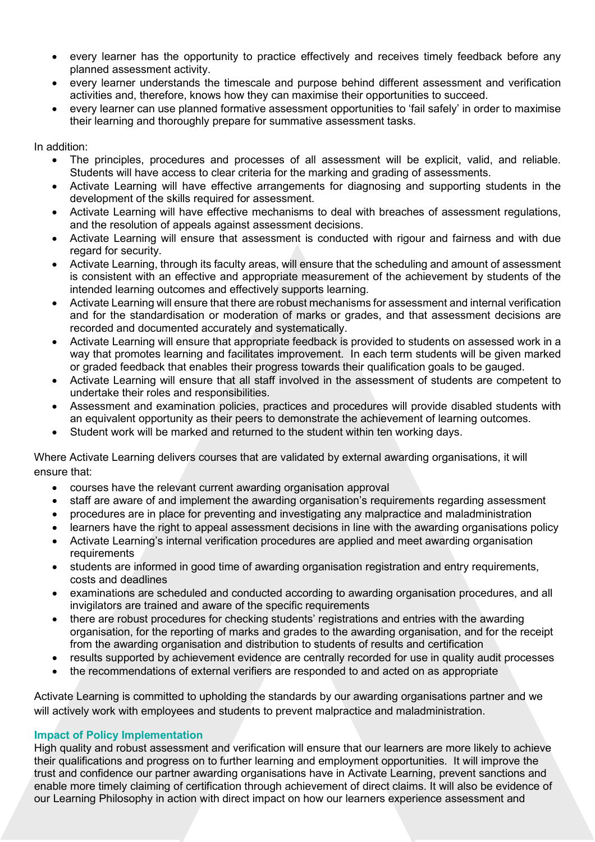- every learner has the opportunity to practice effectively and receives timely feedback before any planned assessment activity.
- every learner understands the timescale and purpose behind different assessment and verification activities and, therefore, knows how they can maximise their opportunities to succeed.
- every learner can use planned formative assessment opportunities to 'fail safely' in order to maximise their learning and thoroughly prepare for summative assessment tasks.

In addition:

- The principles, procedures and processes of all assessment will be explicit, valid, and reliable. Students will have access to clear criteria for the marking and grading of assessments.
- Activate Learning will have effective arrangements for diagnosing and supporting students in the development of the skills required for assessment.
- Activate Learning will have effective mechanisms to deal with breaches of assessment regulations, and the resolution of appeals against assessment decisions.
- Activate Learning will ensure that assessment is conducted with rigour and fairness and with due regard for security.
- Activate Learning, through its faculty areas, will ensure that the scheduling and amount of assessment is consistent with an effective and appropriate measurement of the achievement by students of the intended learning outcomes and effectively supports learning.
- Activate Learning will ensure that there are robust mechanisms for assessment and internal verification and for the standardisation or moderation of marks or grades, and that assessment decisions are recorded and documented accurately and systematically.
- Activate Learning will ensure that appropriate feedback is provided to students on assessed work in a way that promotes learning and facilitates improvement. In each term students will be given marked or graded feedback that enables their progress towards their qualification goals to be gauged.
- Activate Learning will ensure that all staff involved in the assessment of students are competent to undertake their roles and responsibilities.
- Assessment and examination policies, practices and procedures will provide disabled students with an equivalent opportunity as their peers to demonstrate the achievement of learning outcomes.
- Student work will be marked and returned to the student within ten working days.

Where Activate Learning delivers courses that are validated by external awarding organisations, it will ensure that:

- courses have the relevant current awarding organisation approval
- staff are aware of and implement the awarding organisation's requirements regarding assessment
- procedures are in place for preventing and investigating any malpractice and maladministration
- learners have the right to appeal assessment decisions in line with the awarding organisations policy
- Activate Learning's internal verification procedures are applied and meet awarding organisation requirements
- students are informed in good time of awarding organisation registration and entry requirements, costs and deadlines
- examinations are scheduled and conducted according to awarding organisation procedures, and all invigilators are trained and aware of the specific requirements
- there are robust procedures for checking students' registrations and entries with the awarding organisation, for the reporting of marks and grades to the awarding organisation, and for the receipt from the awarding organisation and distribution to students of results and certification
- results supported by achievement evidence are centrally recorded for use in quality audit processes
- the recommendations of external verifiers are responded to and acted on as appropriate

Activate Learning is committed to upholding the standards by our awarding organisations partner and we will actively work with employees and students to prevent malpractice and maladministration.

# **Impact of Policy Implementation**

High quality and robust assessment and verification will ensure that our learners are more likely to achieve their qualifications and progress on to further learning and employment opportunities. It will improve the trust and confidence our partner awarding organisations have in Activate Learning, prevent sanctions and enable more timely claiming of certification through achievement of direct claims. It will also be evidence of our Learning Philosophy in action with direct impact on how our learners experience assessment and